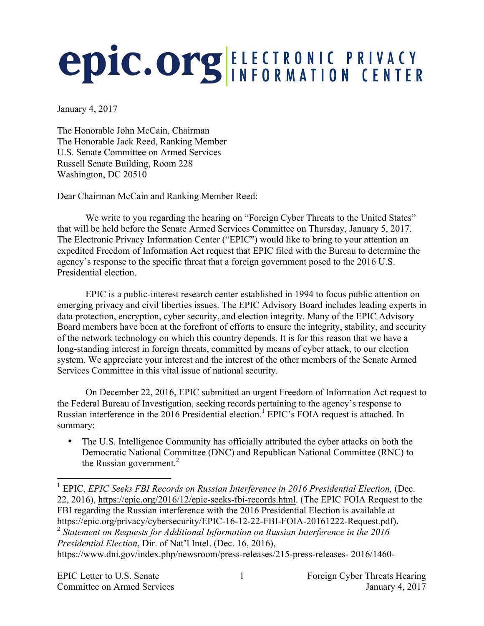## **epic.org ELECTRONIC PRIVACY**

January 4, 2017

The Honorable John McCain, Chairman The Honorable Jack Reed, Ranking Member U.S. Senate Committee on Armed Services Russell Senate Building, Room 228 Washington, DC 20510

Dear Chairman McCain and Ranking Member Reed:

We write to you regarding the hearing on "Foreign Cyber Threats to the United States" that will be held before the Senate Armed Services Committee on Thursday, January 5, 2017. The Electronic Privacy Information Center ("EPIC") would like to bring to your attention an expedited Freedom of Information Act request that EPIC filed with the Bureau to determine the agency's response to the specific threat that a foreign government posed to the 2016 U.S. Presidential election.

EPIC is a public-interest research center established in 1994 to focus public attention on emerging privacy and civil liberties issues. The EPIC Advisory Board includes leading experts in data protection, encryption, cyber security, and election integrity. Many of the EPIC Advisory Board members have been at the forefront of efforts to ensure the integrity, stability, and security of the network technology on which this country depends. It is for this reason that we have a long-standing interest in foreign threats, committed by means of cyber attack, to our election system. We appreciate your interest and the interest of the other members of the Senate Armed Services Committee in this vital issue of national security.

On December 22, 2016, EPIC submitted an urgent Freedom of Information Act request to the Federal Bureau of Investigation, seeking records pertaining to the agency's response to Russian interference in the 2016 Presidential election.<sup>1</sup> EPIC's FOIA request is attached. In summary:

The U.S. Intelligence Community has officially attributed the cyber attacks on both the Democratic National Committee (DNC) and Republican National Committee (RNC) to the Russian government. $^{2}$ 

 <sup>1</sup> EPIC, *EPIC Seeks FBI Records on Russian Interference in <sup>2016</sup> Presidential Election,* (Dec. 22, 2016), https://epic.org/2016/12/epic-seeks-fbi-records.html. (The EPIC FOIA Request to the FBI regarding the Russian interference with the 2016 Presidential Election is available at https://epic.org/privacy/cybersecurity/EPIC-16-12-22-FBI-FOIA-20161222-Request.pdf).<br><sup>2</sup> Statement on Requests for Additional Information on Russian Interference in the 2016 *Presidential Election*, Dir. of Nat'l Intel. (Dec. 16, 2016), https://www.dni.gov/index.php/newsroom/press-releases/215-press-releases- 2016/1460-